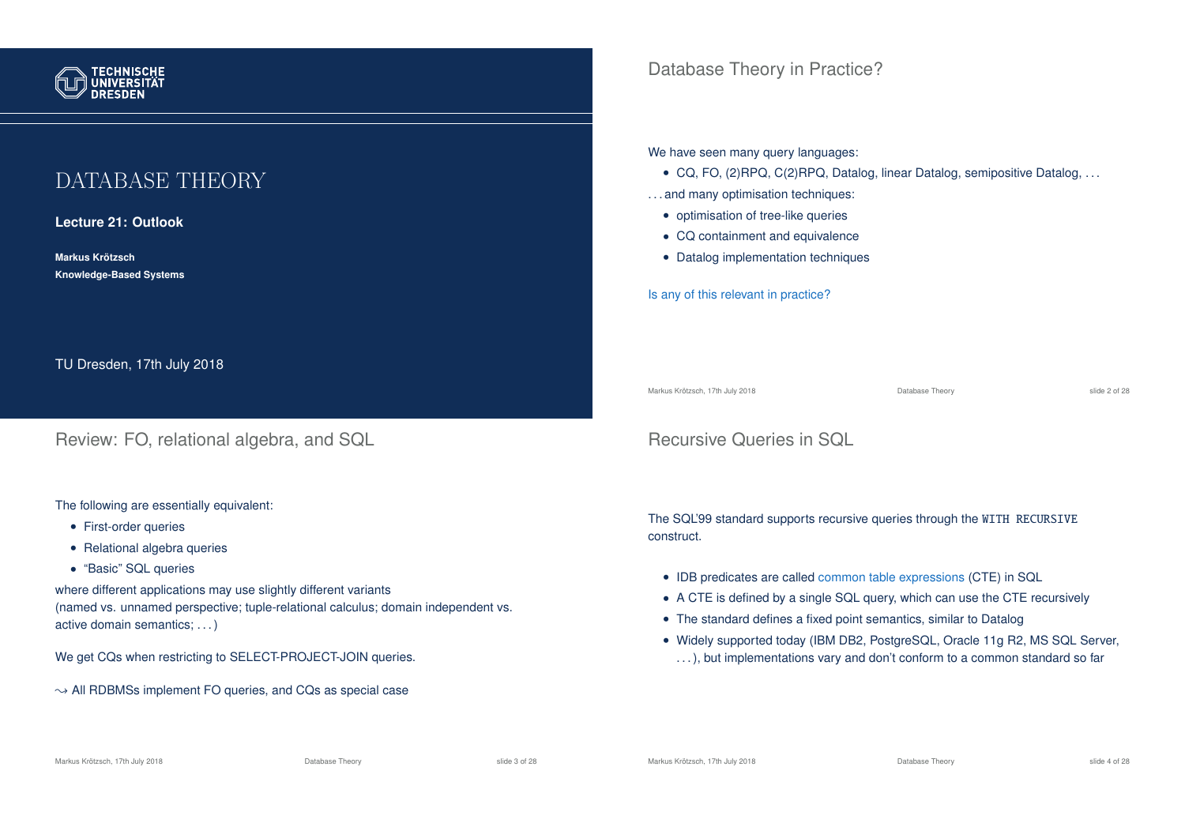

# DATABASE THEORY

**Lecture 21: Outlook**

**Markus Krotzsch ¨ Knowledge-Based Systems**

TU Dresden, 17th July 2018

Review: FO, relational algebra, and SQL

The following are essentially equivalent:

- First-order queries
- Relational algebra queries
- "Basic" SQL queries

where different applications may use slightly different variants (named vs. unnamed perspective; tuple-relational calculus; domain independent vs. active domain semantics; . . . )

We get CQs when restricting to SELECT-PROJECT-JOIN queries.

 $\rightarrow$  All RDBMSs implement FO queries, and CQs as special case

Database Theory in Practice?

We have seen many query languages:

- CQ, FO, (2)RPQ, C(2)RPQ, Datalog, linear Datalog, semipositive Datalog, . . .
- . . . and many optimisation techniques:
	- optimisation of tree-like queries
	- CQ containment and equivalence
	- Datalog implementation techniques

Is any of this relevant in practice?

Markus Krötzsch, 17th July 2018 Database Theory slide 2 of 28

# Recursive Queries in SQL

The SQL'99 standard supports recursive queries through the WITH RECURSIVE construct.

- IDB predicates are called common table expressions (CTE) in SQL
- A CTE is defined by a single SQL query, which can use the CTE recursively
- The standard defines a fixed point semantics, similar to Datalog
- Widely supported today (IBM DB2, PostgreSQL, Oracle 11g R2, MS SQL Server, ...), but implementations vary and don't conform to a common standard so far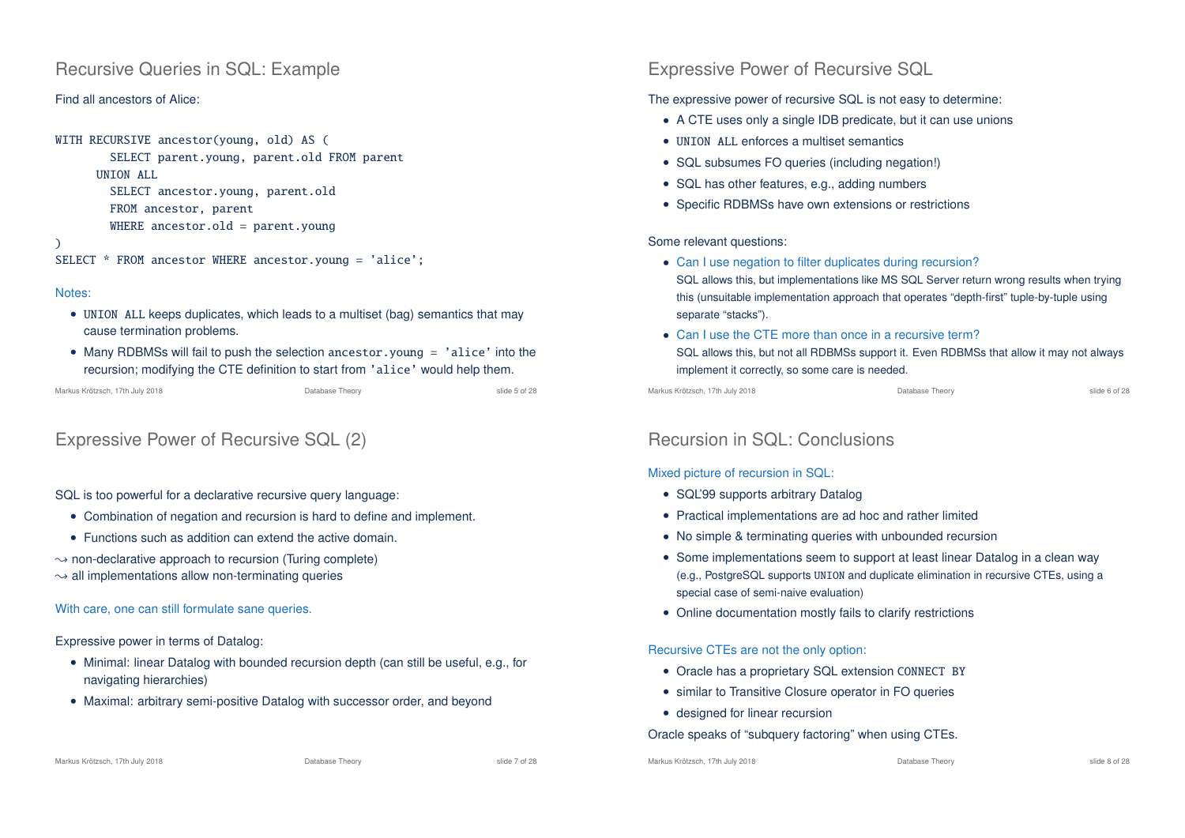## Recursive Queries in SQL: Example

#### Find all ancestors of Alice:

```
WITH RECURSIVE ancestor(young, old) AS (
```
SELECT parent.young, parent.old FROM parent UNION ALL SELECT ancestor.young, parent.old FROM ancestor, parent

```
WHERE ancestor.old = parent.young
```
### $\lambda$

```
SELECT * FROM ancestor WHERE ancestor.young = 'alice';
```
#### Notes:

- UNION ALL keeps duplicates, which leads to a multiset (bag) semantics that may cause termination problems.
- Many RDBMSs will fail to push the selection ancestor.young = 'alice' into the recursion; modifying the CTE definition to start from 'alice' would help them.

```
Markus Krötzsch, 17th July 2018 Database Theory Database Theory Slide 5 of 28 slide 5 of 28
```
# Expressive Power of Recursive SQL (2)

### SQL is too powerful for a declarative recursive query language:

- Combination of negation and recursion is hard to define and implement.
- Functions such as addition can extend the active domain.
- $\rightarrow$  non-declarative approach to recursion (Turing complete)
- $\rightarrow$  all implementations allow non-terminating queries

### With care, one can still formulate sane queries.

Expressive power in terms of Datalog:

- Minimal: linear Datalog with bounded recursion depth (can still be useful, e.g., for navigating hierarchies)
- Maximal: arbitrary semi-positive Datalog with successor order, and beyond

#### Markus Krötzsch, 17th July 2018 Database Theory slide 7 of 28

## Expressive Power of Recursive SQL

### The expressive power of recursive SQL is not easy to determine:

- A CTE uses only a single IDB predicate, but it can use unions
- UNTON ALL enforces a multiset semantics
- SQL subsumes FO queries (including negation!)
- SQL has other features, e.g., adding numbers
- Specific RDBMSs have own extensions or restrictions

#### Some relevant questions:

- Can I use negation to filter duplicates during recursion?
- SQL allows this, but implementations like MS SQL Server return wrong results when trying this (unsuitable implementation approach that operates "depth-first" tuple-by-tuple using separate "stacks").
- Can I use the CTE more than once in a recursive term? SQL allows this, but not all RDBMSs support it. Even RDBMSs that allow it may not always implement it correctly, so some care is needed.

Markus Krötzsch, 17th July 2018 Database Theory slide 6 of 28

# Recursion in SQL: Conclusions

### Mixed picture of recursion in SQL:

- SQL'99 supports arbitrary Datalog
- Practical implementations are ad hoc and rather limited
- No simple & terminating queries with unbounded recursion
- Some implementations seem to support at least linear Datalog in a clean way (e.g., PostgreSQL supports UNION and duplicate elimination in recursive CTEs, using a special case of semi-naive evaluation)
- Online documentation mostly fails to clarify restrictions

#### Recursive CTEs are not the only option:

- Oracle has a proprietary SQL extension CONNECT BY
- similar to Transitive Closure operator in FO queries
- designed for linear recursion

#### Oracle speaks of "subquery factoring" when using CTEs.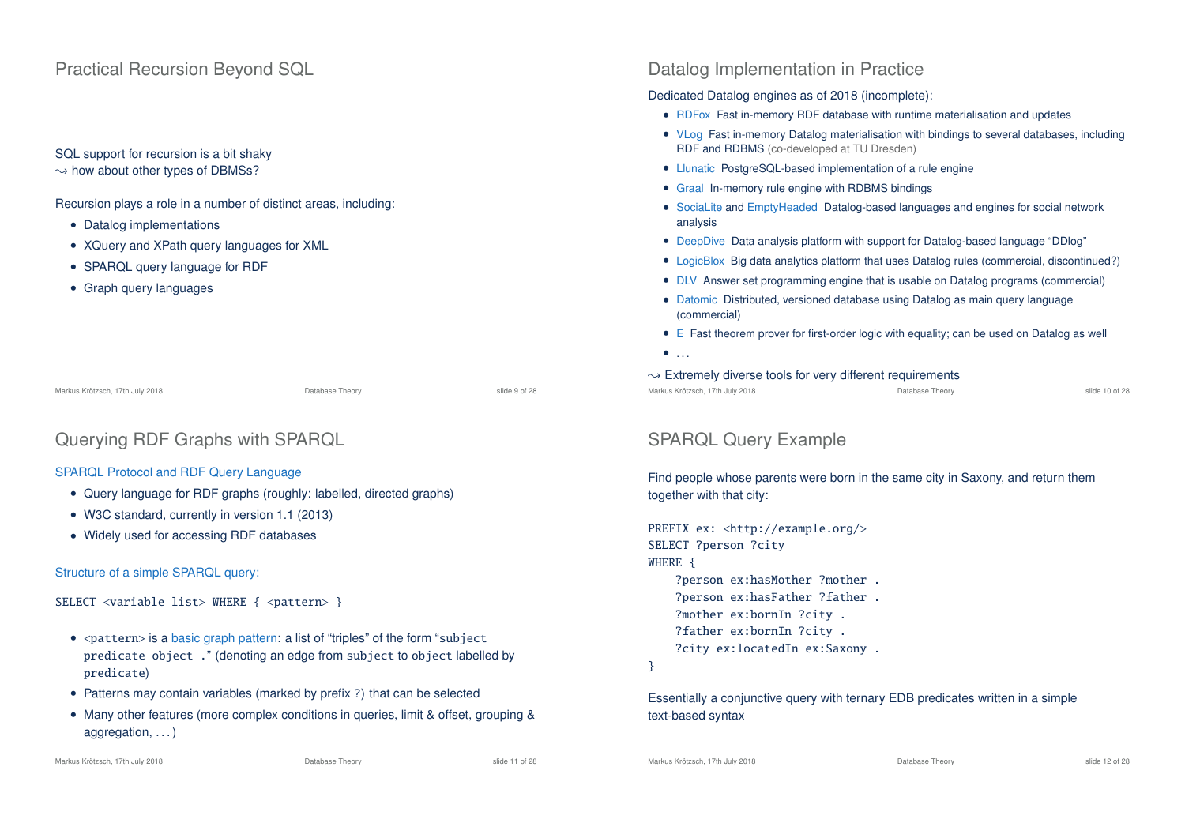## Practical Recursion Beyond SQL

## SQL support for recursion is a bit shaky

 $\rightarrow$  how about other types of DBMSs?

Recursion plays a role in a number of distinct areas, including:

- Datalog implementations
- XQuery and XPath query languages for XML
- SPARQL query language for RDF
- Graph query languages

Markus Krötzsch, 17th July 2018 Database Theory slide 9 of 28

```
Querying RDF Graphs with SPARQL
```
#### SPARQL Protocol and RDF Query Language

- Query language for RDF graphs (roughly: labelled, directed graphs)
- W3C standard, currently in version 1.1 (2013)
- Widely used for accessing RDF databases

#### Structure of a simple SPARQL query:

SELECT <variable list> WHERE { <pattern> }

- <pattern> is a basic graph pattern: a list of "triples" of the form "subject predicate object ." (denoting an edge from subject to object labelled by predicate)
- Patterns may contain variables (marked by prefix ?) that can be selected
- Many other features (more complex conditions in queries, limit & offset, grouping & aggregation, ...)

## Datalog Implementation in Practice

#### Dedicated Datalog engines as of 2018 (incomplete):

- RDFox Fast in-memory RDF database with runtime materialisation and updates
- VLog Fast in-memory Datalog materialisation with bindings to several databases, including RDF and RDBMS (co-developed at TU Dresden)
- Llunatic PostgreSQL-based implementation of a rule engine
- Graal In-memory rule engine with RDBMS bindings
- SociaLite and EmptyHeaded Datalog-based languages and engines for social network analysis
- DeepDive Data analysis platform with support for Datalog-based language "DDlog"
- LogicBlox Big data analytics platform that uses Datalog rules (commercial, discontinued?)
- DLV Answer set programming engine that is usable on Datalog programs (commercial)
- Datomic Distributed, versioned database using Datalog as main query language (commercial)
- E Fast theorem prover for first-order logic with equality; can be used on Datalog as well
- $\bullet$  ...
- $\rightarrow$  Extremely diverse tools for very different requirements
- Markus Krötzsch, 17th July 2018 Database Theory slide 10 of 28

## SPARQL Query Example

Find people whose parents were born in the same city in Saxony, and return them together with that city:

```
PREFIX ex: <http://example.org/>
SELECT ?person ?city
WHERE {
    ?person ex:hasMother ?mother .
    ?person ex:hasFather ?father .
    ?mother ex:bornIn ?city .
    ?father ex:bornIn ?city .
    ?city ex:locatedIn ex:Saxony .
```
}

Essentially a conjunctive query with ternary EDB predicates written in a simple text-based syntax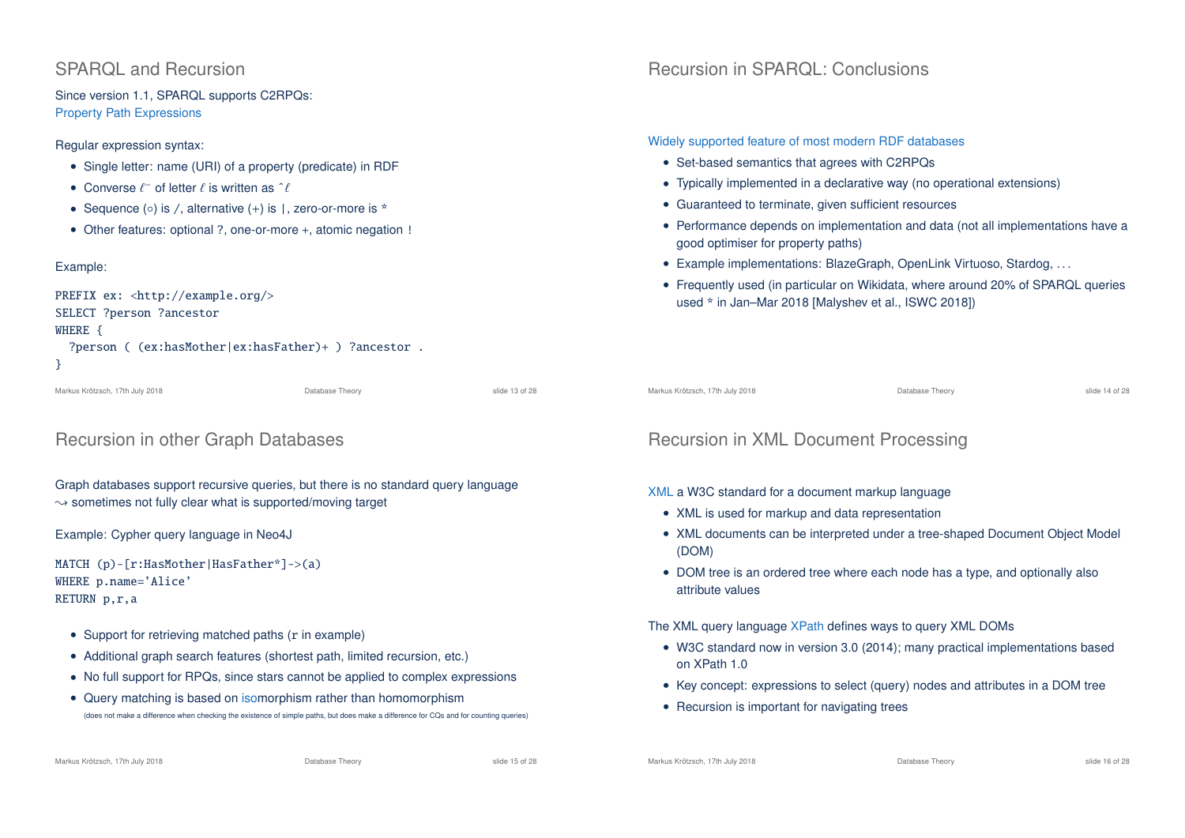# SPARQL and Recursion

Since version 1.1, SPARQL supports C2RPQs: Property Path Expressions

#### Regular expression syntax:

- Single letter: name (URI) of a property (predicate) in RDF
- Converse  $\ell^-$  of letter  $\ell$  is written as  $\hat{\ell}$
- Sequence (○) is /, alternative (+) is |, zero-or-more is \*
- Other features: optional ?, one-or-more +, atomic negation !

### Example:

| PREFIX $ex: \langle \text{http://example.org/}\rangle$ |
|--------------------------------------------------------|
| SELECT ?person ?ancestor                               |
| WHERE {                                                |
| ?person ( (ex:hasMother ex:hasFather)+ ) ?ancestor .   |
|                                                        |

```
Markus Krötzsch, 17th July 2018 Database Theory slide 13 of 28
```
# Recursion in other Graph Databases

Graph databases support recursive queries, but there is no standard query language  $\rightarrow$  sometimes not fully clear what is supported/moving target

### Example: Cypher query language in Neo4J

```
MATCH (p)-[r:HasMother|HasFather*]->(a)
WHERE p.name='Alice'
RETURN p,r,a
```
- Support for retrieving matched paths (r in example)
- Additional graph search features (shortest path, limited recursion, etc.)
- No full support for RPQs, since stars cannot be applied to complex expressions
- Query matching is based on isomorphism rather than homomorphism (does not make a difference when checking the existence of simple paths, but does make a difference for CQs and for counting queries)

# Recursion in SPARQL: Conclusions

### Widely supported feature of most modern RDF databases

- Set-based semantics that agrees with C2RPQs
- Typically implemented in a declarative way (no operational extensions)
- Guaranteed to terminate, given sufficient resources
- Performance depends on implementation and data (not all implementations have a good optimiser for property paths)
- Example implementations: BlazeGraph, OpenLink Virtuoso, Stardog, . . .
- Frequently used (in particular on Wikidata, where around 20% of SPARQL queries used \* in Jan–Mar 2018 [Malyshev et al., ISWC 2018])

Markus Krötzsch, 17th July 2018 Database Theory slide 14 of 28

# Recursion in XML Document Processing

### XML a W3C standard for a document markup language

- XML is used for markup and data representation
- XML documents can be interpreted under a tree-shaped Document Object Model (DOM)
- DOM tree is an ordered tree where each node has a type, and optionally also attribute values

The XML query language XPath defines ways to query XML DOMs

- W3C standard now in version 3.0 (2014); many practical implementations based on XPath 1.0
- Key concept: expressions to select (query) nodes and attributes in a DOM tree
- Recursion is important for navigating trees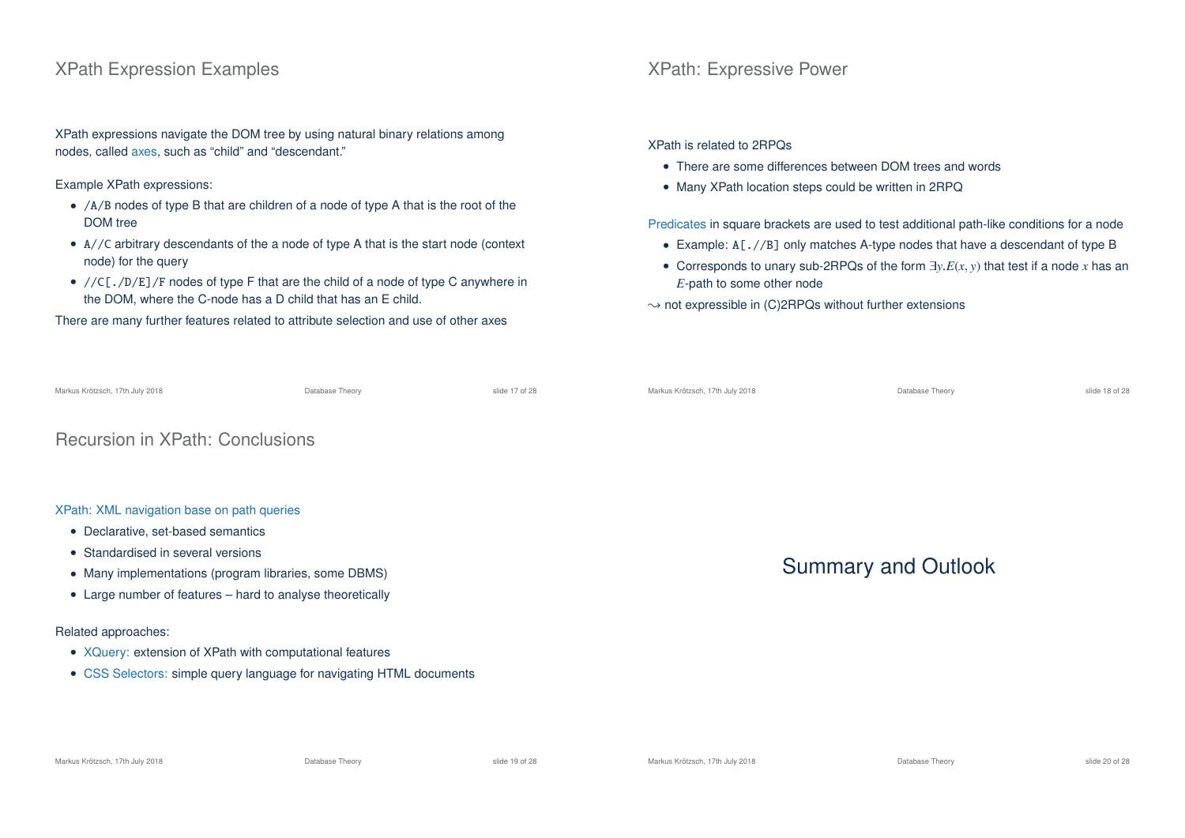## XPath Expression Examples

XPath expressions navigate the DOM tree by using natural binary relations among nodes, called axes, such as "child" and "descendant."

Example XPath expressions:

- /A/B nodes of type B that are children of a node of type A that is the root of the DOM tree
- A//C arbitrary descendants of the a node of type A that is the start node (context node) for the query
- $//C[./D/E]/F$  nodes of type F that are the child of a node of type C anywhere in the DOM, where the C-node has a D child that has an E child.

There are many further features related to attribute selection and use of other axes

## XPath: Expressive Power

XPath is related to 2RPQs

- There are some differences between DOM trees and words
- Many XPath location steps could be written in 2RPQ

Predicates in square brackets are used to test additional path-like conditions for a node

- Example: A[.//B] only matches A-type nodes that have a descendant of type B
- Corresponds to unary sub-2RPQs of the form ∃*y*.*E*(*x*, *y*) that test if a node *x* has an *E*-path to some other node

 $\rightarrow$  not expressible in (C)2RPQs without further extensions

| Markus Krötzsch, 17th July 2018                            | Database Theory | slide 17 of 28 | Markus Krötzsch, 17th July 2018 | Database Theory | slide 18 of 28 |
|------------------------------------------------------------|-----------------|----------------|---------------------------------|-----------------|----------------|
| <b>Recursion in XPath: Conclusions</b>                     |                 |                |                                 |                 |                |
|                                                            |                 |                |                                 |                 |                |
| XPath: XML navigation base on path queries                 |                 |                |                                 |                 |                |
| • Declarative, set-based semantics                         |                 |                |                                 |                 |                |
| • Standardised in several versions                         |                 |                |                                 |                 |                |
| • Many implementations (program libraries, some DBMS)      |                 |                | <b>Summary and Outlook</b>      |                 |                |
| • Large number of features – hard to analyse theoretically |                 |                |                                 |                 |                |

#### Related approaches:

- XQuery: extension of XPath with computational features
- CSS Selectors: simple query language for navigating HTML documents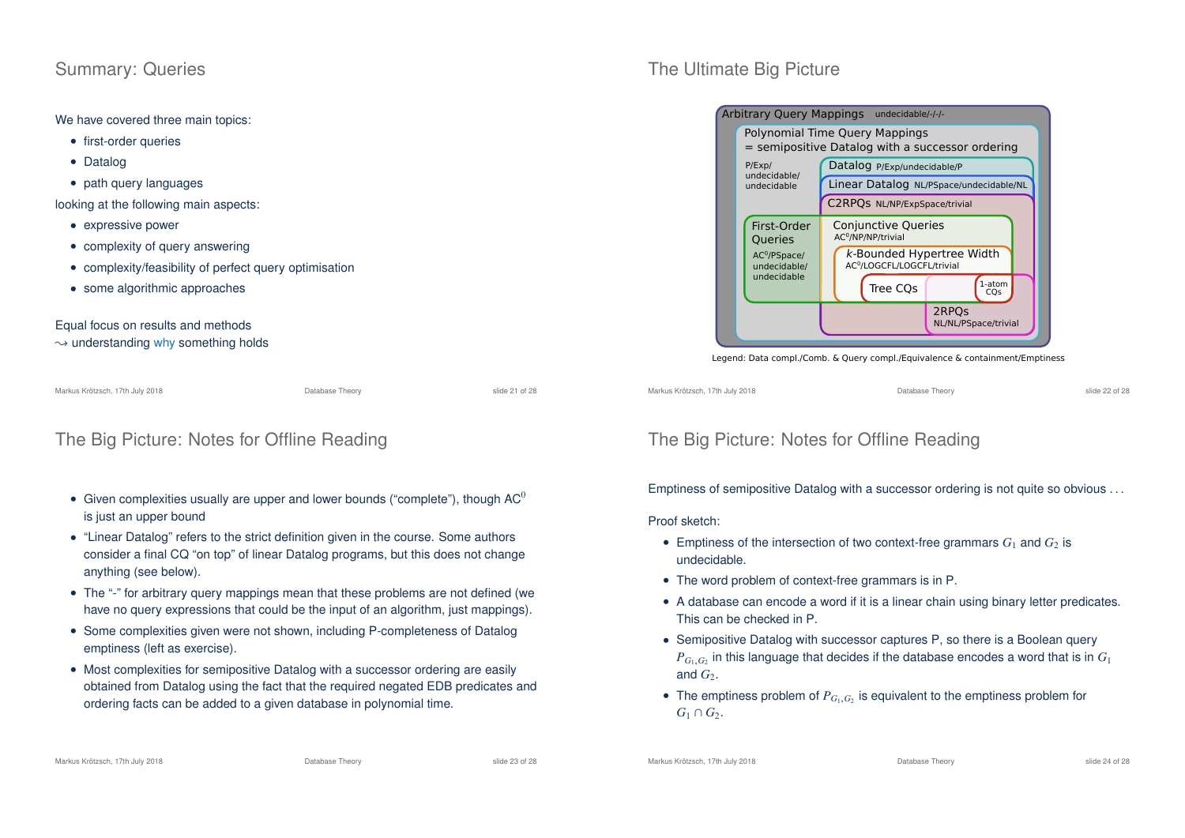## Summary: Queries

We have covered three main topics:

- first-order queries
- Datalog
- path query languages

looking at the following main aspects:

- expressive power
- complexity of query answering
- complexity/feasibility of perfect query optimisation
- some algorithmic approaches

Equal focus on results and methods

#### $\rightarrow$  understanding why something holds

Markus Krötzsch, 17th July 2018 Database Theory slide 21 of 28

# The Big Picture: Notes for Offline Reading

- Given complexities usually are upper and lower bounds ("complete"), though  $AC^0$ is just an upper bound
- "Linear Datalog" refers to the strict definition given in the course. Some authors consider a final CQ "on top" of linear Datalog programs, but this does not change anything (see below).
- The "-" for arbitrary query mappings mean that these problems are not defined (we have no query expressions that could be the input of an algorithm, just mappings).
- Some complexities given were not shown, including P-completeness of Datalog emptiness (left as exercise).
- Most complexities for semipositive Datalog with a successor ordering are easily obtained from Datalog using the fact that the required negated EDB predicates and ordering facts can be added to a given database in polynomial time.

# The Ultimate Big Picture



#### Legend: Data compl./Comb. & Query compl./Equivalence & containment/Emptiness

Markus Krötzsch, 17th July 2018 Database Theory slide 22 of 28

# The Big Picture: Notes for Offline Reading

Emptiness of semipositive Datalog with a successor ordering is not quite so obvious . . .

### Proof sketch:

- Emptiness of the intersection of two context-free grammars  $G_1$  and  $G_2$  is undecidable.
- The word problem of context-free grammars is in P.
- A database can encode a word if it is a linear chain using binary letter predicates. This can be checked in P.
- Semipositive Datalog with successor captures P, so there is a Boolean query  $P_{G_1,G_2}$  in this language that decides if the database encodes a word that is in  $G_1$ and  $G<sub>2</sub>$ .
- The emptiness problem of  $P_{G_1,G_2}$  is equivalent to the emptiness problem for  $G_1 \cap G_2$ .